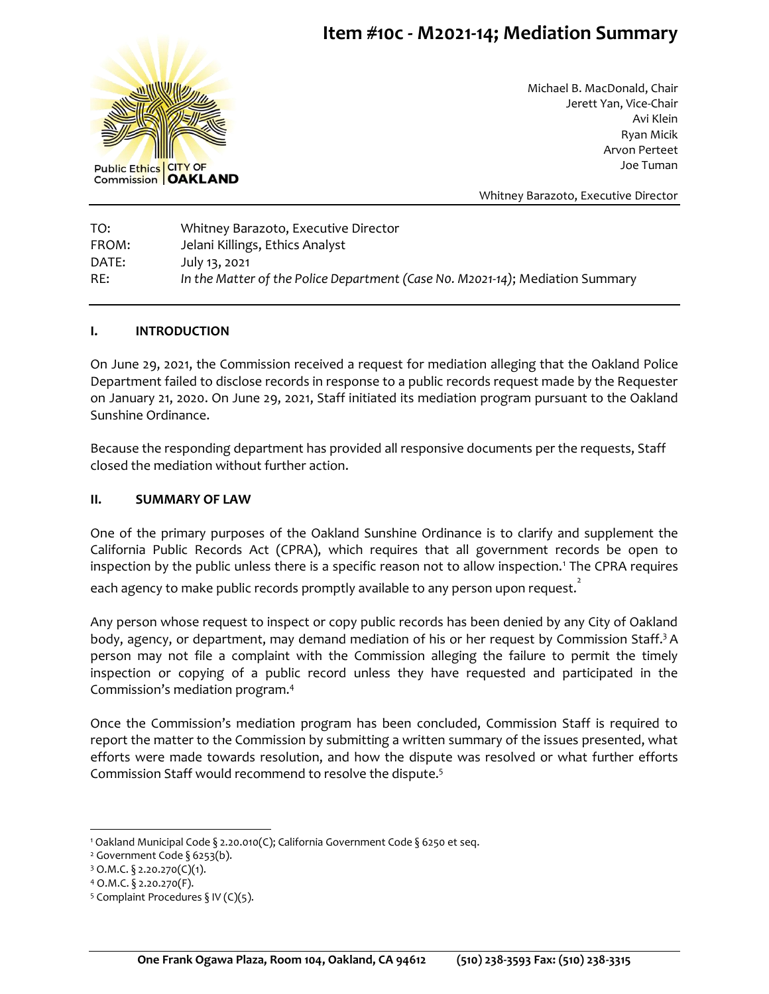# **Item #10c - M2021-14; Mediation Summary**



Michael B. MacDonald, Chair Jerett Yan, Vice-Chair Avi Klein Ryan Micik Arvon Perteet Joe Tuman

Whitney Barazoto, Executive Director

TO: Whitney Barazoto, Executive Director FROM: Jelani Killings, Ethics Analyst DATE: July 13, 2021 RE: *In the Matter of the Police Department (Case N0. M2021-14)*; Mediation Summary

#### **I. INTRODUCTION**

On June 29, 2021, the Commission received a request for mediation alleging that the Oakland Police Department failed to disclose records in response to a public records request made by the Requester on January 21, 2020. On June 29, 2021, Staff initiated its mediation program pursuant to the Oakland Sunshine Ordinance.

Because the responding department has provided all responsive documents per the requests, Staff closed the mediation without further action.

### **II. SUMMARY OF LAW**

One of the primary purposes of the Oakland Sunshine Ordinance is to clarify and supplement the California Public Records Act (CPRA), which requires that all government records be open to inspection by the public unless there is a specific reason not to allow inspection.<sup>1</sup> The CPRA requires each agency to make public records promptly available to any person upon request. $\mathring{\cdot}$ 

Any person whose request to inspect or copy public records has been denied by any City of Oakland body, agency, or department, may demand mediation of his or her request by Commission Staff.<sup>3</sup> A person may not file a complaint with the Commission alleging the failure to permit the timely inspection or copying of a public record unless they have requested and participated in the Commission's mediation program.<sup>4</sup>

Once the Commission's mediation program has been concluded, Commission Staff is required to report the matter to the Commission by submitting a written summary of the issues presented, what efforts were made towards resolution, and how the dispute was resolved or what further efforts Commission Staff would recommend to resolve the dispute.<sup>5</sup>

<sup>1</sup> Oakland Municipal Code § 2.20.010(C); California Government Code § 6250 et seq.

<sup>&</sup>lt;sup>2</sup> Government Code § 6253(b).

 $3$  O.M.C. § 2.20.270(C)(1).

<sup>4</sup> O.M.C. § 2.20.270(F).

<sup>&</sup>lt;sup>5</sup> Complaint Procedures § IV (C)(5).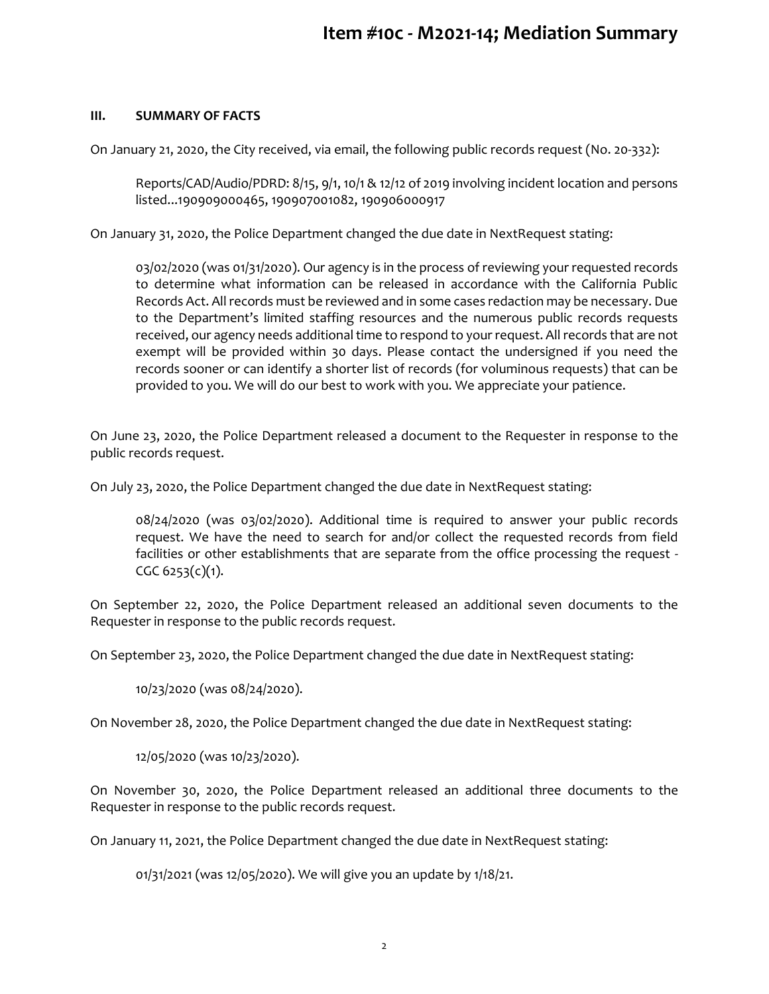## **III. SUMMARY OF FACTS**

On January 21, 2020, the City received, via email, the following public records request (No. 20-332):

Reports/CAD/Audio/PDRD: 8/15, 9/1, 10/1 & 12/12 of 2019 involving incident location and persons listed...190909000465, 190907001082, 190906000917

On January 31, 2020, the Police Department changed the due date in NextRequest stating:

03/02/2020 (was 01/31/2020). Our agency is in the process of reviewing your requested records to determine what information can be released in accordance with the California Public Records Act. All records must be reviewed and in some cases redaction may be necessary. Due to the Department's limited staffing resources and the numerous public records requests received, our agency needs additional time to respond to your request. All records that are not exempt will be provided within 30 days. Please contact the undersigned if you need the records sooner or can identify a shorter list of records (for voluminous requests) that can be provided to you. We will do our best to work with you. We appreciate your patience.

On June 23, 2020, the Police Department released a document to the Requester in response to the public records request.

On July 23, 2020, the Police Department changed the due date in NextRequest stating:

08/24/2020 (was 03/02/2020). Additional time is required to answer your public records request. We have the need to search for and/or collect the requested records from field facilities or other establishments that are separate from the office processing the request -  $CGC 6253(c)(1)$ .

On September 22, 2020, the Police Department released an additional seven documents to the Requester in response to the public records request.

On September 23, 2020, the Police Department changed the due date in NextRequest stating:

10/23/2020 (was 08/24/2020).

On November 28, 2020, the Police Department changed the due date in NextRequest stating:

12/05/2020 (was 10/23/2020).

On November 30, 2020, the Police Department released an additional three documents to the Requester in response to the public records request.

On January 11, 2021, the Police Department changed the due date in NextRequest stating:

01/31/2021 (was 12/05/2020). We will give you an update by 1/18/21.